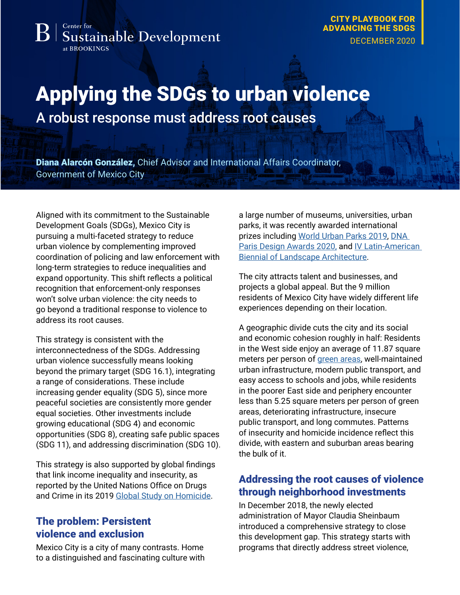#### Center for **Sustainable Development** at BROOKINGS

[CITY PLAYBOOK FOR](https://www.brookings.edu/city-playbook-for-advancing-the-sdgs/)  [ADVANCING THE SDGS](https://www.brookings.edu/city-playbook-for-advancing-the-sdgs/) DECEMBER 2020

# Applying the SDGs to urban violence

A robust response must address root causes

Diana Alarcón González, Chief Advisor and International Affairs Coordinator, Government of Mexico City

Aligned with its commitment to the Sustainable Development Goals (SDGs), Mexico City is pursuing a multi-faceted strategy to reduce urban violence by complementing improved coordination of policing and law enforcement with long-term strategies to reduce inequalities and expand opportunity. This shift reflects a political recognition that enforcement-only responses won't solve urban violence: the city needs to go beyond a traditional response to violence to address its root causes.

This strategy is consistent with the interconnectedness of the SDGs. Addressing urban violence successfully means looking beyond the primary target (SDG 16.1), integrating a range of considerations. These include increasing gender equality (SDG 5), since more peaceful societies are consistently more gender equal societies. Other investments include growing educational (SDG 4) and economic opportunities (SDG 8), creating safe public spaces (SDG 11), and addressing discrimination (SDG 10).

This strategy is also supported by global findings that link income inequality and insecurity, as reported by the United Nations Office on Drugs and Crime in its 2019 [Global Study on Homicide.](https://www.unodc.org/documents/data-and-analysis/gsh/Booklet1.pdf)

## The problem: Persistent violence and exclusion

Mexico City is a city of many contrasts. Home to a distinguished and fascinating culture with a large number of museums, universities, urban parks, it was recently awarded international prizes including [World Urban Parks 2019,](https://wup.imiscloud.com/Public/Programs/Awards/ILUPA---Profiles-2019/Chapultepec.aspx) [DNA](https://dna.paris/winner/zoom.php?eid=71-87185-20)  [Paris Design Awards 2020,](https://dna.paris/winner/zoom.php?eid=71-87185-20) and IV Latin-American [Biennial of Landscape Architecture](https://www.blappaisaje.com/ganadoresivblap).

The city attracts talent and businesses, and projects a global appeal. But the 9 million residents of Mexico City have widely different life experiences depending on their location.

A geographic divide cuts the city and its social and economic cohesion roughly in half: Residents in the West side enjoy an average of 11.87 square meters per person of [green areas](https://www.sedema.cdmx.gob.mx/programas/programa/inventario), well-maintained urban infrastructure, modern public transport, and easy access to schools and jobs, while residents in the poorer East side and periphery encounter less than 5.25 square meters per person of green areas, deteriorating infrastructure, insecure public transport, and long commutes. Patterns of insecurity and homicide incidence reflect this divide, with eastern and suburban areas bearing the bulk of it.

## Addressing the root causes of violence through neighborhood investments

In December 2018, the newly elected administration of Mayor Claudia Sheinbaum introduced a comprehensive strategy to close this development gap. This strategy starts with programs that directly address street violence,